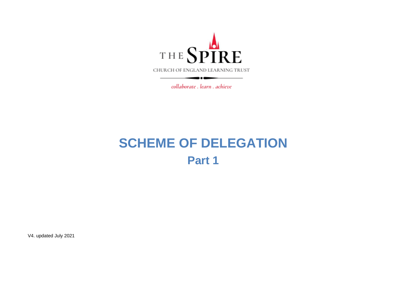

collaborate . learn . achieve

# **SCHEME OF DELEGATION Part 1**

V4. updated July 2021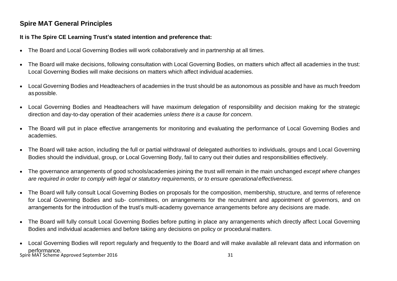# **Spire MAT General Principles**

# **It is The Spire CE Learning Trust's stated intention and preference that:**

- The Board and Local Governing Bodies will work collaboratively and in partnership at all times.
- The Board will make decisions, following consultation with Local Governing Bodies, on matters which affect all academies in the trust: Local Governing Bodies will make decisions on matters which affect individual academies.
- Local Governing Bodies and Headteachers of academies in the trust should be as autonomous as possible and have as much freedom aspossible.
- Local Governing Bodies and Headteachers will have maximum delegation of responsibility and decision making for the strategic direction and day-to-day operation of their academies *unless there is a cause for concern*.
- The Board will put in place effective arrangements for monitoring and evaluating the performance of Local Governing Bodies and academies.
- The Board will take action, including the full or partial withdrawal of delegated authorities to individuals, groups and Local Governing Bodies should the individual, group, or Local Governing Body, fail to carry out their duties and responsibilities effectively.
- The governance arrangements of good schools/academies joining the trust will remain in the main unchanged *except where changes are required in order to comply with legal or statutory requirements, or to ensure operational effectiveness.*
- The Board will fully consult Local Governing Bodies on proposals for the composition, membership, structure, and terms of reference for Local Governing Bodies and sub- committees, on arrangements for the recruitment and appointment of governors, and on arrangements for the introduction of the trust's multi-academy governance arrangements before any decisions are made.
- The Board will fully consult Local Governing Bodies before putting in place any arrangements which directly affect Local Governing Bodies and individual academies and before taking any decisions on policy or procedural matters.
- Spire MAT Scheme Approved September 2016 31 • Local Governing Bodies will report regularly and frequently to the Board and will make available all relevant data and information on performance.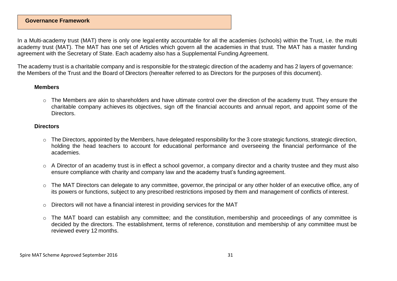## **Governance Framework**

In a Multi-academy trust (MAT) there is only one legal entity accountable for all the academies (schools) within the Trust, i.e. the multi academy trust (MAT). The MAT has one set of Articles which govern all the academies in that trust. The MAT has a master funding agreement with the Secretary of State. Each academy also has a Supplemental Funding Agreement.

The academy trust is a charitable company and is responsible for the strategic direction of the academy and has 2 layers of governance: the Members of the Trust and the Board of Directors (hereafter referred to as Directors for the purposes of this document).

#### **Members**

o The Members are akin to shareholders and have ultimate control over the direction of the academy trust. They ensure the charitable company achieves its objectives, sign off the financial accounts and annual report, and appoint some of the Directors.

#### **Directors**

- o The Directors, appointed by the Members, have delegated responsibility for the 3 core strategic functions, strategic direction, holding the head teachers to account for educational performance and overseeing the financial performance of the academies.
- o A Director of an academy trust is in effect a school governor, a company director and a charity trustee and they must also ensure compliance with charity and company law and the academy trust's funding agreement.
- $\circ$  The MAT Directors can delegate to any committee, governor, the principal or any other holder of an executive office, any of its powers or functions, subject to any prescribed restrictions imposed by them and management of conflicts of interest.
- $\circ$  Directors will not have a financial interest in providing services for the MAT
- o The MAT board can establish any committee; and the constitution, membership and proceedings of any committee is decided by the directors. The establishment, terms of reference, constitution and membership of any committee must be reviewed every 12 months.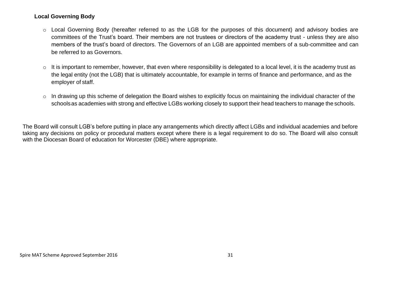# **Local Governing Body**

- o Local Governing Body (hereafter referred to as the LGB for the purposes of this document) and advisory bodies are committees of the Trust's board. Their members are not trustees or directors of the academy trust - unless they are also members of the trust's board of directors. The Governors of an LGB are appointed members of a sub-committee and can be referred to as Governors.
- o It is important to remember, however, that even where responsibility is delegated to a local level, it is the academy trust as the legal entity (not the LGB) that is ultimately accountable, for example in terms of finance and performance, and as the employer of staff.
- o In drawing up this scheme of delegation the Board wishes to explicitly focus on maintaining the individual character of the schoolsas academies with strong and effective LGBs working closely to support their head teachers to manage the schools.

The Board will consult LGB's before putting in place any arrangements which directly affect LGBs and individual academies and before taking any decisions on policy or procedural matters except where there is a legal requirement to do so. The Board will also consult with the Diocesan Board of education for Worcester (DBE) where appropriate.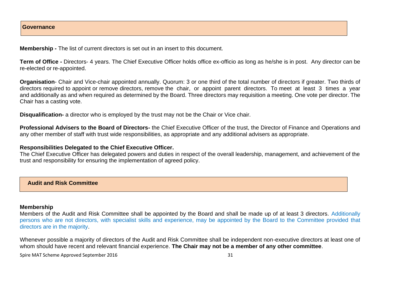#### **Governance**

**Membership -** The list of current directors is set out in an insert to this document.

**Term of Office -** Directors- 4 years. The Chief Executive Officer holds office ex-officio as long as he/she is in post. Any director can be re-elected or re-appointed.

**Organisation**- Chair and Vice-chair appointed annually. Quorum: 3 or one third of the total number of directors if greater. Two thirds of directors required to appoint or remove directors, remove the chair, or appoint parent directors. To meet at least 3 times a year and additionally as and when required as determined by the Board. Three directors may requisition a meeting. One vote per director. The Chair has a casting vote.

**Disqualification-** a director who is employed by the trust may not be the Chair or Vice chair.

**Professional Advisers to the Board of Directors-** the Chief Executive Officer of the trust, the Director of Finance and Operations and any other member of staff with trust wide responsibilities, as appropriate and any additional advisers as appropriate.

#### **Responsibilities Delegated to the Chief Executive Officer.**

The Chief Executive Officer has delegated powers and duties in respect of the overall leadership, management, and achievement of the trust and responsibility for ensuring the implementation of agreed policy.

### **Audit and Risk Committee**

#### **Membership**

Members of the Audit and Risk Committee shall be appointed by the Board and shall be made up of at least 3 directors. Additionally persons who are not directors, with specialist skills and experience, may be appointed by the Board to the Committee provided that directors are in the majority.

Whenever possible a majority of directors of the Audit and Risk Committee shall be independent non-executive directors at least one of whom should have recent and relevant financial experience. **The Chair may not be a member of any other committee**.

Spire MAT Scheme Approved September 2016 31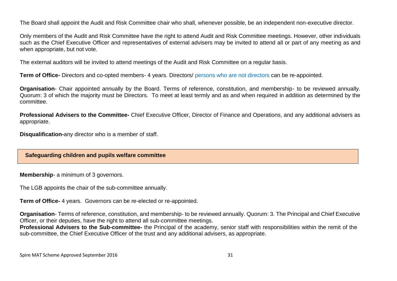The Board shall appoint the Audit and Risk Committee chair who shall, whenever possible, be an independent non-executive director.

Only members of the Audit and Risk Committee have the right to attend Audit and Risk Committee meetings. However, other individuals such as the Chief Executive Officer and representatives of external advisers may be invited to attend all or part of any meeting as and when appropriate, but not vote.

The external auditors will be invited to attend meetings of the Audit and Risk Committee on a regular basis.

**Term of Office-** Directors and co-opted members- 4 years. Directors/ persons who are not directors can be re-appointed.

**Organisation**- Chair appointed annually by the Board. Terms of reference, constitution, and membership- to be reviewed annually. Quorum: 3 of which the majority must be Directors. To meet at least termly and as and when required in addition as determined by the committee.

**Professional Advisers to the Committee-** Chief Executive Officer, Director of Finance and Operations, and any additional advisers as appropriate.

**Disqualification-**any director who is a member of staff.

**Safeguarding children and pupils welfare committee**

**Membership**- a minimum of 3 governors.

The LGB appoints the chair of the sub-committee annually.

**Term of Office-** 4 years. Governors can be re-elected or re-appointed.

**Organisation**- Terms of reference, constitution, and membership- to be reviewed annually. Quorum: 3. The Principal and Chief Executive Officer, or their deputies, have the right to attend all sub-committee meetings.

**Professional Advisers to the Sub-committee-** the Principal of the academy, senior staff with responsibilities within the remit of the sub-committee, the Chief Executive Officer of the trust and any additional advisers, as appropriate.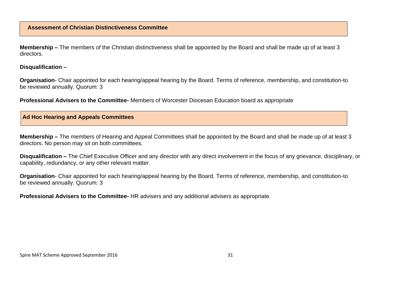**Membership –** The members of the Christian distinctiveness shall be appointed by the Board and shall be made up of at least 3 directors.

#### **Disqualification –**

**Organisation**- Chair appointed for each hearing/appeal hearing by the Board. Terms of reference, membership, and constitution-to be reviewed annually. Quorum: 3

**Professional Advisers to the Committee-** Members of Worcester Diocesan Education board as appropriate

## **Ad Hoc Hearing and Appeals Committees**

**Membership –** The members of Hearing and Appeal Committees shall be appointed by the Board and shall be made up of at least 3 directors. No person may sit on both committees.

**Disqualification –** The Chief Executive Officer and any director with any direct involvement in the focus of any grievance, disciplinary, or capability, redundancy, or any other relevant matter.

**Organisation**- Chair appointed for each hearing/appeal hearing by the Board. Terms of reference, membership, and constitution-to be reviewed annually. Quorum: 3

**Professional Advisers to the Committee-** HR advisers and any additional advisers as appropriate.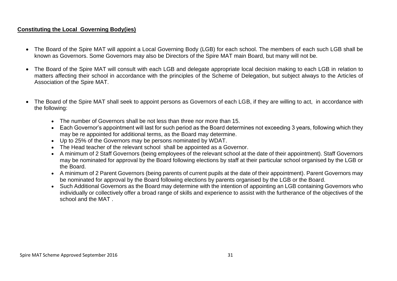# **Constituting the Local Governing Body(ies)**

- The Board of the Spire MAT will appoint a Local Governing Body (LGB) for each school. The members of each such LGB shall be known as Governors. Some Governors may also be Directors of the Spire MAT main Board, but many will not be.
- The Board of the Spire MAT will consult with each LGB and delegate appropriate local decision making to each LGB in relation to matters affecting their school in accordance with the principles of the Scheme of Delegation, but subject always to the Articles of Association of the Spire MAT.
- The Board of the Spire MAT shall seek to appoint persons as Governors of each LGB, if they are willing to act, in accordance with the following:
	- The number of Governors shall be not less than three nor more than 15.
	- Each Governor's appointment will last for such period as the Board determines not exceeding 3 years, following which they may be re appointed for additional terms, as the Board may determine.
	- Up to 25% of the Governors may be persons nominated by WDAT.
	- The Head teacher of the relevant school shall be appointed as a Governor.
	- A minimum of 2 Staff Governors (being employees of the relevant school at the date of their appointment). Staff Governors may be nominated for approval by the Board following elections by staff at their particular school organised by the LGB or the Board.
	- A minimum of 2 Parent Governors (being parents of current pupils at the date of their appointment). Parent Governors may be nominated for approval by the Board following elections by parents organised by the LGB or the Board.
	- Such Additional Governors as the Board may determine with the intention of appointing an LGB containing Governors who individually or collectively offer a broad range of skills and experience to assist with the furtherance of the objectives of the school and the MAT .